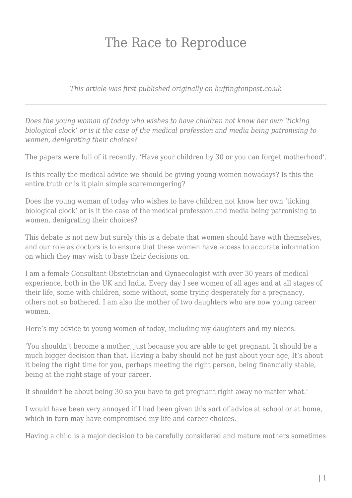## The Race to Reproduce

*This article was first published originally on huffingtonpost.co.uk*

*Does the young woman of today who wishes to have children not know her own 'ticking biological clock' or is it the case of the medical profession and media being patronising to women, denigrating their choices?*

The papers were full of it recently. 'Have your children by 30 or you can forget motherhood'.

Is this really the medical advice we should be giving young women nowadays? Is this the entire truth or is it plain simple scaremongering?

Does the young woman of today who wishes to have children not know her own 'ticking biological clock' or is it the case of the medical profession and media being patronising to women, denigrating their choices?

This debate is not new but surely this is a debate that women should have with themselves, and our role as doctors is to ensure that these women have access to accurate information on which they may wish to base their decisions on.

I am a female Consultant Obstetrician and Gynaecologist with over 30 years of medical experience, both in the UK and India. Every day I see women of all ages and at all stages of their life, some with children, some without, some trying desperately for a pregnancy, others not so bothered. I am also the mother of two daughters who are now young career women.

Here's my advice to young women of today, including my daughters and my nieces.

'You shouldn't become a mother, just because you are able to get pregnant. It should be a much bigger decision than that. Having a baby should not be just about your age, It's about it being the right time for you, perhaps meeting the right person, being financially stable, being at the right stage of your career.

It shouldn't be about being 30 so you have to get pregnant right away no matter what.'

I would have been very annoyed if I had been given this sort of advice at school or at home, which in turn may have compromised my life and career choices.

Having a child is a major decision to be carefully considered and mature mothers sometimes